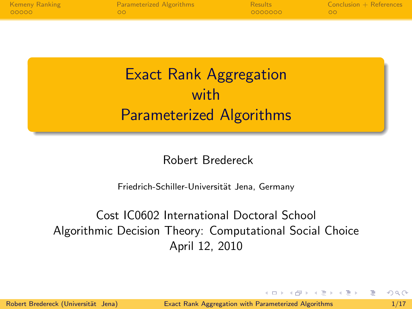| Kemeny Ranking | <b>Parameterized Algorithms</b> | <b>Results</b> | $Conclusion + References$ |
|----------------|---------------------------------|----------------|---------------------------|
| 00000          | - ററ                            | 0000000        | <u>െ ററ</u>               |

# Exact Rank Aggregation with Parameterized Algorithms

### Robert Bredereck

Friedrich-Schiller-Universität Jena, Germany

# Cost IC0602 International Doctoral School Algorithmic Decision Theory: Computational Social Choice April 12, 2010

<span id="page-0-0"></span>イタト イミト イミト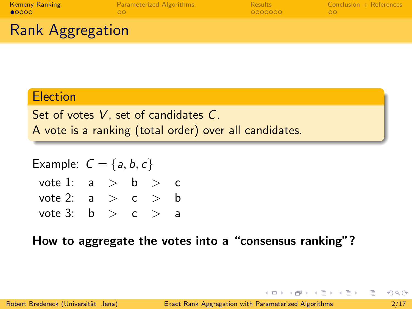| <b>Kemeny Ranking</b><br>00000 | <b>Parameterized Algorithms</b> | Results<br>0000000 | $Conclusion + References$ |
|--------------------------------|---------------------------------|--------------------|---------------------------|
| <b>Rank Aggregation</b>        |                                 |                    |                           |

### **Election**

Set of votes V, set of candidates C. A vote is a ranking (total order) over all candidates.

Example:  $C = \{a, b, c\}$ vote 1:  $a > b > c$ vote 2:  $a > c > b$ vote 3:  $b > c > a$ 

How to aggregate the votes into a "consensus ranking"?

<span id="page-1-0"></span> $\mathcal{A} \oplus \mathcal{B} \rightarrow \mathcal{A} \oplus \mathcal{B} \rightarrow \mathcal{A} \oplus \mathcal{B} \rightarrow \mathcal{B} \oplus \mathcal{B}$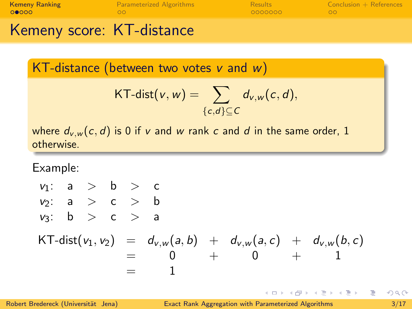|                       | コノー ショップ コンテード・シーン       |                |                           |
|-----------------------|--------------------------|----------------|---------------------------|
| 00000                 | nn.                      | 0000000        |                           |
| <b>Kemeny Ranking</b> | Parameterized Algorithms | <b>Results</b> | $Conclusion + References$ |

Kemeny score: KI-distance

KT-distance (between two votes  $v$  and  $w$ )

KT-dist
$$
(v, w)
$$
 = 
$$
\sum_{\{c,d\} \subseteq C} d_{v,w}(c,d),
$$

where  $d_{v,w}(c, d)$  is 0 if v and w rank c and d in the same order, 1 otherwise.

Example:

$$
v_1: a > b > c
$$
  
\n
$$
v_2: a > c > b
$$
  
\n
$$
v_3: b > c > a
$$
  
\n
$$
KT\text{-}dist(v_1, v_2) = d_{v,w}(a, b) + d_{v,w}(a, c) + d_{v,w}(b, c)
$$
  
\n
$$
= 0 + 0 + 1
$$
  
\n
$$
= 1
$$

4 D F

B

 $\mathcal{A} \oplus \mathcal{B}$  ,  $\mathcal{A} \oplus \mathcal{B}$  ,  $\mathcal{A} \oplus \mathcal{B}$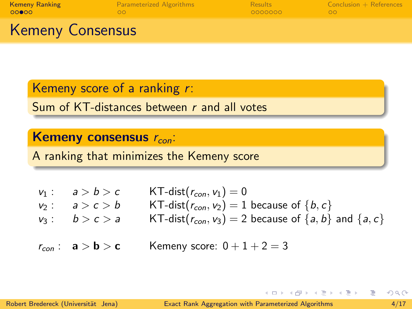| <b>Kemeny Ranking</b>                             | Parameterized Algorithms | <b>Results</b> | $Conclusion + References$ |
|---------------------------------------------------|--------------------------|----------------|---------------------------|
| 00000                                             | nn.                      | 0000000        |                           |
| $\mathcal{L}$ and $\mathcal{L}$ and $\mathcal{L}$ |                          |                |                           |

### Kemeny Consensus

Kemeny score of a ranking r:

Sum of KT-distances between r and all votes

### Kemeny consensus  $r_{con}$ :

A ranking that minimizes the Kemeny score

| $v_1: a > b > c$ | $\mathsf{KT}\text{-}\mathsf{dist}(r_{con},\mathsf{v}_1)=0$            |
|------------------|-----------------------------------------------------------------------|
| $v_2: a>c>b$     | KT-dist( $r_{con}$ , $v_2$ ) = 1 because of { $b, c$ }                |
| $v_3: b > c > a$ | KT-dist( $r_{con}$ , $v_3$ ) = 2 because of $\{a, b\}$ and $\{a, c\}$ |
|                  |                                                                       |

 $r_{con}$ :  $a > b > c$  Kemeny score:  $0+1+2=3$ 

 $-1.77 - 6.$ 

イタト イミト イミト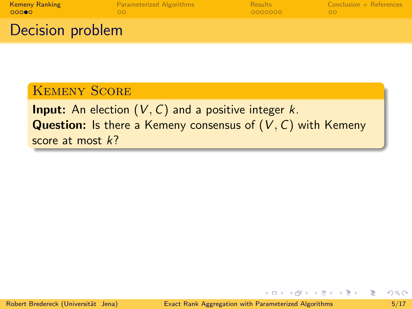| <b>Kemeny Ranking</b><br>00000 | <b>Parameterized Algorithms</b> | <b>Results</b><br>0000000 | $Conclusion + References$ |
|--------------------------------|---------------------------------|---------------------------|---------------------------|
| Decision problem               |                                 |                           |                           |

# Kemeny Score

**Input:** An election  $(V, C)$  and a positive integer  $k$ . **Question:** Is there a Kemeny consensus of  $(V, C)$  with Kemeny score at most  $k$ ?

 $-1$   $-1$   $+$ 

B

メタトメ ミトメ ミト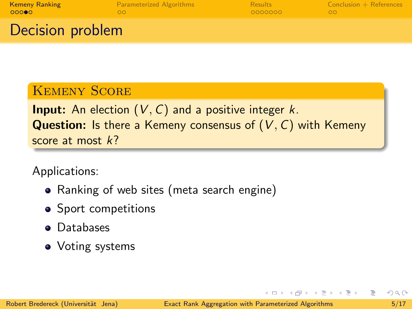| <b>Kemeny Ranking</b> | <b>Parameterized Algorithms</b> | Results   | $Conclusion + References$ |
|-----------------------|---------------------------------|-----------|---------------------------|
| 00000                 | nn                              | - QQQQQQQ | ററ                        |
| Desision muokkana     |                                 |           |                           |

# Decision problem

### Kemeny Score

**Input:** An election  $(V, C)$  and a positive integer  $k$ . **Question:** Is there a Kemeny consensus of  $(V, C)$  with Kemeny score at most  $k$ ?

Applications:

- Ranking of web sites (meta search engine)
- Sport competitions
- **•** Databases
- Voting systems

イ何 トイヨ トイヨ トー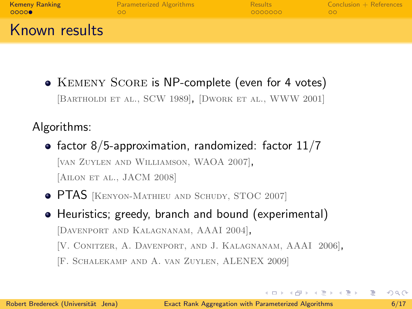| <b>Kemeny Ranking</b> | <b>Parameterized Algorithms</b> | Results | $Conclusion + References$ |
|-----------------------|---------------------------------|---------|---------------------------|
| 00000                 |                                 | 0000000 | oc                        |
| Known results         |                                 |         |                           |

• KEMENY SCORE is NP-complete (even for 4 votes) [Bartholdi et al., SCW 1989], [Dwork et al., WWW 2001]

## Algorithms:

- factor 8/5-approximation, randomized: factor  $11/7$ [van Zuylen and Williamson, WAOA 2007], [AILON ET AL., JACM 2008]
- **PTAS** [KENYON-MATHIEU AND SCHUDY, STOC 2007]
- Heuristics; greedy, branch and bound (experimental) [Davenport and Kalagnanam, AAAI 2004],
	- [V. Conitzer, A. Davenport, and J. Kalagnanam, AAAI 2006],
	- [F. Schalekamp and A. van Zuylen, ALENEX 2009]

<span id="page-6-0"></span>イロト イ押ト イヨト イヨトー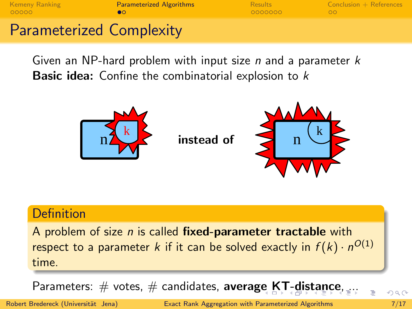$00000$ 

[Kemeny Ranking](#page-1-0) **Example 2018** [Parameterized Algorithms](#page-7-0) [Results](#page-9-0) [Conclusion + References](#page-20-0)

<span id="page-7-0"></span>

# Parameterized Complexity

Given an NP-hard problem with input size  $n$  and a parameter  $k$ **Basic idea:** Confine the combinatorial explosion to  $k$ 



### Definition

A problem of size  $n$  is called fixed-parameter tractable with respect to a parameter  $k$  if it can be solved exactly in  $f(k)\cdot n^{O(1)}$ time.

Param[e](#page-6-0)ter[s](#page-8-0):  $\#$  vo[t](#page-6-0)es[,](#page-7-0)  $\#$  candidates, average [KT](#page-8-0)[-](#page-6-0)[di](#page-7-0)st[a](#page-7-0)[n](#page-8-0)[c](#page-9-0)e

Robert Bredereck (Universität Jena) [Exact Rank Aggregation with Parameterized Algorithms](#page-0-0) 7/17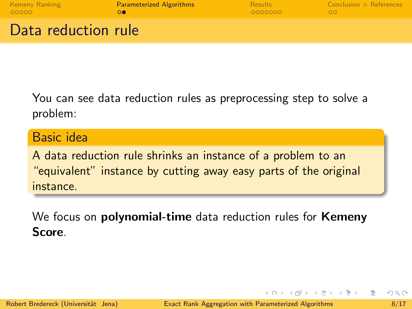| <b>Kemeny Ranking</b> | <b>Parameterized Algorithms</b> | Results | $Conclusion + References$ |
|-----------------------|---------------------------------|---------|---------------------------|
| 00000                 |                                 | 0000000 | ററ                        |
| Data reduction rule   |                                 |         |                           |

You can see data reduction rules as preprocessing step to solve a problem:

Basic idea

A data reduction rule shrinks an instance of a problem to an "equivalent" instance by cutting away easy parts of the original instance.

We focus on **polynomial-time** data reduction rules for **Kemeny** Score.

<span id="page-8-0"></span> $\left\{ \left\vert \left\langle \mathbf{q} \right\rangle \right\vert \times \left\langle \mathbf{q} \right\rangle \right\} \times \left\{ \left\vert \mathbf{q} \right\rangle \right\}$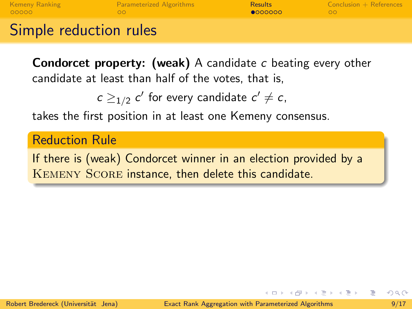| <b>Kemeny Ranking</b>  | <b>Parameterized Algorithms</b> | <b>Results</b> | $Conclusion + References$ |
|------------------------|---------------------------------|----------------|---------------------------|
| LOOOOO                 | nn                              | 0000000        |                           |
| Simple reduction rules |                                 |                |                           |

Condorcet property: (weak) A candidate c beating every other candidate at least than half of the votes, that is,

 $c \geq_{1/2} c'$  for every candidate  $c' \neq c$ ,

takes the first position in at least one Kemeny consensus.

Reduction Rule

If there is (weak) Condorcet winner in an election provided by a Kemeny Score instance, then delete this candidate.

<span id="page-9-0"></span> $(1,1)$   $(1,1)$   $(1,1)$   $(1,1)$   $(1,1)$   $(1,1)$   $(1,1)$   $(1,1)$   $(1,1)$   $(1,1)$   $(1,1)$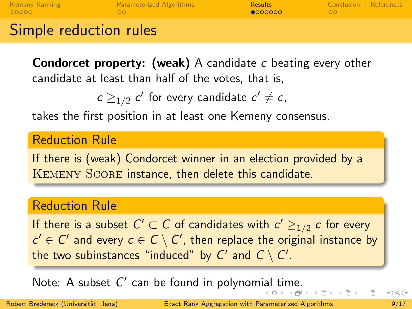| <b>Kemeny Ranking</b>  | <b>Parameterized Algorithms</b> | <b>Results</b> | $Conclusion + References$ |
|------------------------|---------------------------------|----------------|---------------------------|
| LOOOOO                 | nn                              | 0000000        |                           |
| Simple reduction rules |                                 |                |                           |

**Condorcet property: (weak)** A candidate c beating every other candidate at least than half of the votes, that is,

 $c \geq_{1/2} c'$  for every candidate  $c' \neq c$ ,

takes the first position in at least one Kemeny consensus.

Reduction Rule

If there is (weak) Condorcet winner in an election provided by a Kemeny Score instance, then delete this candidate.

### Reduction Rule

If there is a subset  $\mathcal{C}' \subset \mathcal{C}$  of candidates with  $\mathcal{c}' \geq_{1/2} \mathcal{c}$  for every  $c' \in C'$  and every  $c \in C \setminus C'$ , then replace the original instance by the two subinstances "induced" by  $C'$  and  $C \setminus C'.$ 

<span id="page-10-0"></span>Not[e](#page-9-0): A subset  $C'$  can be found in polynom[ial](#page-9-0) [ti](#page-11-0)[m](#page-8-0)e[.](#page-10-0)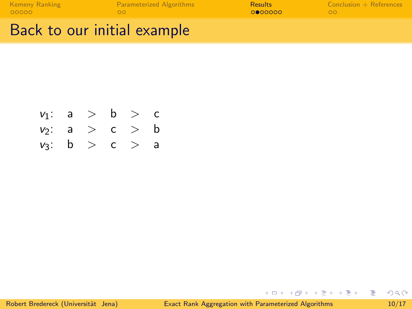| <b>Kemeny Ranking</b> | <b>Parameterized Algorithms</b> | <b>Results</b> | $Conclusion + References$ |
|-----------------------|---------------------------------|----------------|---------------------------|
| 00000                 | ററ                              | <b>OOOOOOO</b> |                           |
|                       |                                 |                |                           |

# Back to our initial example

| $v_1$ : | a | > b | > c |
|---------|---|-----|-----|
| $v_2$ : | a | > c | > b |
| $v_3$ : | b | > c | > a |

<span id="page-11-0"></span>지수는 지금에 대해 주세요?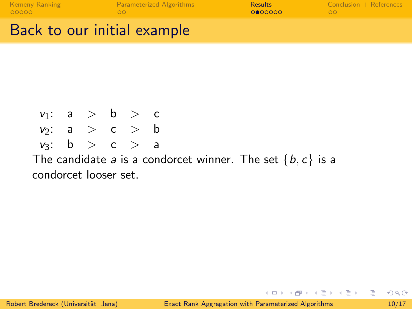| <b>Kemeny Ranking</b><br>00000 | <b>Parameterized Algorithms</b> | <b>Results</b><br>0000000 | $\sim$ Conclusion $+$ References |
|--------------------------------|---------------------------------|---------------------------|----------------------------------|
| Back to our initial example    |                                 |                           |                                  |

The candidate a is a condorcet winner. The set  $\{b, c\}$  is a

 $v_1: a > b > c$  $v_2$ : a > c > b  $v_3$ :  $b > c > a$ 

condorcet looser set.

KED KARD KED KED E VOOR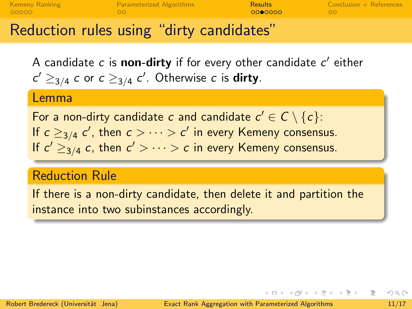| <b>Kemeny Ranking</b> | <b>Parameterized Algorithms</b> | <b>Results</b> | $Conclusion + References$ |
|-----------------------|---------------------------------|----------------|---------------------------|
| 00000                 | ഹവ                              | 0000000        | OO.                       |
|                       |                                 |                |                           |

# Reduction rules using "dirty candidates"

A candidate  $c$  is non-dirty if for every other candidate  $c^\prime$  either  $c' \geq_{3/4} c$  or  $c \geq_{3/4} c'$ . Otherwise  $c$  is **dirty**.

#### Lemma

For a non-dirty candidate  $c$  and candidate  $c' \in \mathcal{C} \setminus \{c\}$ : If  $c \geq_{3/4} c'$ , then  $c > \cdots > c'$  in every Kemeny consensus. If  $c' \geq_{3/4} c$ , then  $c' > \cdots > c$  in every Kemeny consensus.

## Reduction Rule

If there is a non-dirty candidate, then delete it and partition the instance into two subinstances accordingly.

スタース ミトス ミトリ ミ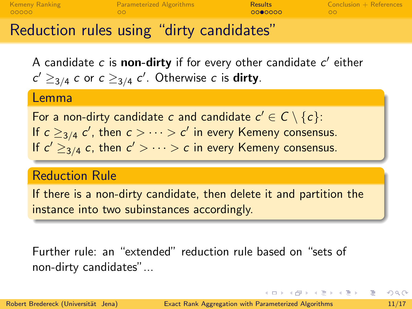| <b>Kemeny Ranking</b> | <b>Parameterized Algorithms</b> | <b>Results</b> | $Conclusion + References$ |
|-----------------------|---------------------------------|----------------|---------------------------|
| 00000                 | ഹവ                              | 0000000        | OO.                       |
|                       |                                 |                |                           |

# Reduction rules using "dirty candidates"

A candidate  $c$  is non-dirty if for every other candidate  $c^\prime$  either  $c' \geq_{3/4} c$  or  $c \geq_{3/4} c'$ . Otherwise  $c$  is **dirty**.

#### Lemma

For a non-dirty candidate  $c$  and candidate  $c' \in \mathcal{C} \setminus \{c\}$ : If  $c \geq_{3/4} c'$ , then  $c > \cdots > c'$  in every Kemeny consensus. If  $c' \geq_{3/4} c$ , then  $c' > \cdots > c$  in every Kemeny consensus.

## Reduction Rule

If there is a non-dirty candidate, then delete it and partition the instance into two subinstances accordingly.

Further rule: an "extended" reduction rule based on "sets of non-dirty candidates"... ..

 $\left\{ \begin{array}{ccc} \square & \rightarrow & \left\{ \bigoplus \gamma & \leftarrow \Xi \ \right\} \end{array} \right. \right. \left\{ \begin{array}{ccc} \square & \rightarrow & \square & \Xi \end{array} \right.$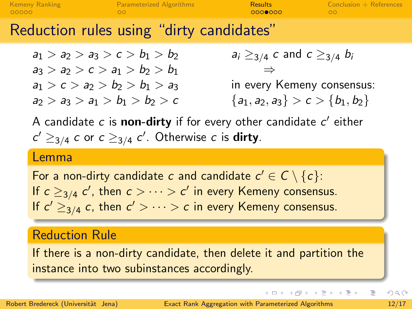| <b>Kemeny Ranking</b><br>00000 | <b>Parameterized Algorithms</b>          | <b>Results</b><br>0000000 | $Conclusion + References$ |
|--------------------------------|------------------------------------------|---------------------------|---------------------------|
|                                | Reduction rules using "dirty candidates" |                           |                           |

 $a_1 > a_2 > a_3 > c > b_1 > b_2$   $a_i \geq_{3/4} c$  and  $c \geq_{3/4} b_i$  $a_3 > a_2 > c > a_1 > b_2 > b_1$  $a_1 > c > a_2 > b_2 > b_1 > a_3$  in every Kemeny consensus:  $a_2 > a_3 > a_1 > b_1 > b_2 > c$  { $a_1, a_2, a_3$ } > c > { $b_1, b_2$ }

A candidate c is non-dirty if for every other candidate c' either  $c' \geq_{3/4} c$  or  $c \geq_{3/4} c'$ . Otherwise  $c$  is **dirty**.

#### Lemma

For a non-dirty candidate c and candidate  $c' \in C \setminus \{c\}$ : If  $c \geq_{3/4} c'$ , then  $c > \cdots > c'$  in every Kemeny consensus. If  $c' \geq_{3/4} c$ , then  $c' > \cdots > c$  in every Kemeny consensus.

## Reduction Rule

If there is a non-dirty candidate, then delete it and partition the instance into two subinstances accordingly.

イロト イ押ト イヨト イヨトー

B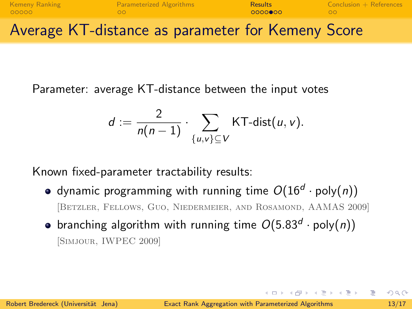

Parameter: average KT-distance between the input votes

$$
d := \frac{2}{n(n-1)} \cdot \sum_{\{u,v\} \subseteq V} \text{KT-dist}(u,v).
$$

Known fixed-parameter tractability results:

- dynamic programming with running time  $O(16^d \cdot \text{poly}(n))$ [Betzler, Fellows, Guo, Niedermeier, and Rosamond, AAMAS 2009]
- branching algorithm with running time  $O(5.83^d \cdot \text{poly}(n))$ [Simjour, IWPEC 2009]

イロト イ押ト イヨト イヨトー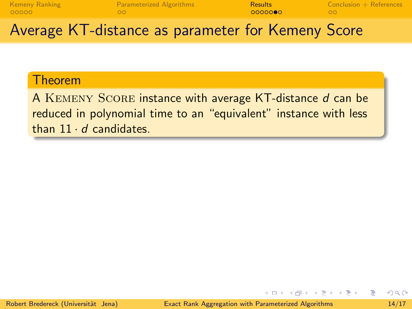| <b>Kemeny Ranking</b><br>00000 | <b>Parameterized Algorithms</b>                   | <b>Results</b><br>00000000 | $Conclusion + References$ |  |
|--------------------------------|---------------------------------------------------|----------------------------|---------------------------|--|
|                                | Average KT-distance as parameter for Kemeny Score |                            |                           |  |

#### Theorem

A KEMENY SCORE instance with average KT-distance d can be reduced in polynomial time to an "equivalent" instance with less than  $11 \cdot d$  candidates.

イ母 トラ ミドラ スライト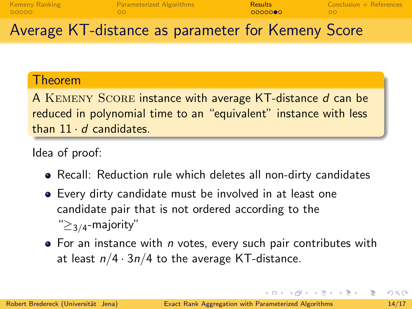| <b>Kemeny Ranking</b> | Parameterized Algorithms | <b>Results</b> | $Conclusion + References$ |
|-----------------------|--------------------------|----------------|---------------------------|
| 00000                 | ററ                       | 00000000       | OO.                       |

# Average KT-distance as parameter for Kemeny Score

### Theorem

A KEMENY SCORE instance with average KT-distance d can be reduced in polynomial time to an "equivalent" instance with less than  $11 \cdot d$  candidates.

### Idea of proof:

- Recall: Reduction rule which deletes all non-dirty candidates
- Every dirty candidate must be involved in at least one candidate pair that is not ordered according to the " $\geq$ <sub>3/4</sub>-majority"
- $\bullet$  For an instance with *n* votes, every such pair contributes with at least  $n/4 \cdot 3n/4$  to the average KT-distance.

 $\mathcal{A} \oplus \mathcal{B}$   $\mathcal{B} \oplus \mathcal{B}$   $\mathcal{B} \oplus \mathcal{B}$   $\mathcal{B} \oplus \mathcal{B}$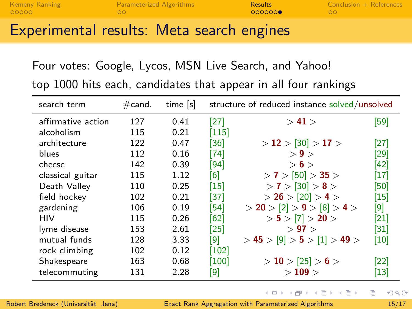| <b>Kemeny Ranking</b><br>00000 |  | Parameterized Algorithms<br>ററ |  | Results<br>0000000 | $Conclusion + References$ |  |
|--------------------------------|--|--------------------------------|--|--------------------|---------------------------|--|
|                                |  |                                |  | .                  |                           |  |

# Experimental results: Meta search engines

Four votes: Google, Lycos, MSN Live Search, and Yahoo!

top 1000 hits each, candidates that appear in all four rankings

| search term        | $\#$ cand. | time [s] |         | structure of reduced instance solved/unsolved |                   |  |
|--------------------|------------|----------|---------|-----------------------------------------------|-------------------|--|
| affirmative action | 127        | 0.41     | [27]    | > 41                                          | [59]              |  |
| alcoholism         | 115        | 0.21     | $[115]$ |                                               |                   |  |
| architecture       | 122        | 0.47     | [36]    | $>$ 12 $>$ [30] $>$ 17 $>$                    | [27]              |  |
| blues              | 112        | 0.16     | [74]    | >9>                                           | [29]              |  |
| cheese             | 142        | 0.39     | [94]    | > 6 >                                         | [42]              |  |
| classical guitar   | 115        | 1.12     | [6]     | $>$ 7 $>$ [50] $>$ 35 $>$                     | [17]              |  |
| Death Valley       | 110        | 0.25     | [15]    | $> 7 > 30$ ] $> 8 > 1$                        | [50]              |  |
| field hockey       | 102        | 0.21     | [37]    | $>$ 26 $>$ [20] $>$ 4 $>$                     | $\left[15\right]$ |  |
| gardening          | 106        | 0.19     | [54]    | $>$ 20 $>$ [2] $>$ 9 $>$ [8] $>$ 4 $>$        | [9]               |  |
| HIV                | 115        | 0.26     | [62]    | $> 5 > 7$ > 20 >                              | [21]              |  |
| lyme disease       | 153        | 2.61     | [25]    | > 97 >                                        | [31]              |  |
| mutual funds       | 128        | 3.33     | [9]     | $>$ 45 $>$ [9] $>$ 5 $>$ [1] $>$ 49 $>$       | [10]              |  |
| rock climbing      | 102        | 0.12     | [102]   |                                               |                   |  |
| Shakespeare        | 163        | 0.68     | [100]   | $>$ 10 $>$ [25] $>$ 6 $>$                     | [22]              |  |
| telecommuting      | 131        | 2.28     | [9]     | >109>                                         | [13]              |  |

4 D F

→ 何 ト + ヨ ト + ヨ ト

B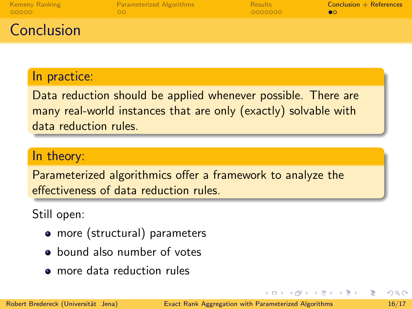| <b>Kemeny Ranking</b><br>00000 | <b>Parameterized Algorithms</b> | <b>Results</b><br>0000000 | $Conclusion + References$ |
|--------------------------------|---------------------------------|---------------------------|---------------------------|
| Conclusion                     |                                 |                           |                           |

### In practice:

Data reduction should be applied whenever possible. There are many real-world instances that are only (exactly) solvable with data reduction rules.

### In theory:

Parameterized algorithmics offer a framework to analyze the effectiveness of data reduction rules.

Still open:

- more (structural) parameters
- **a** bound also number of votes
- more data reduction rules

<span id="page-20-0"></span> $\left\{ \left\vert \left\langle \mathbf{q} \right\rangle \right\vert \times \left\langle \mathbf{q} \right\rangle \right\} \times \left\{ \left\vert \mathbf{q} \right\rangle \right\}$